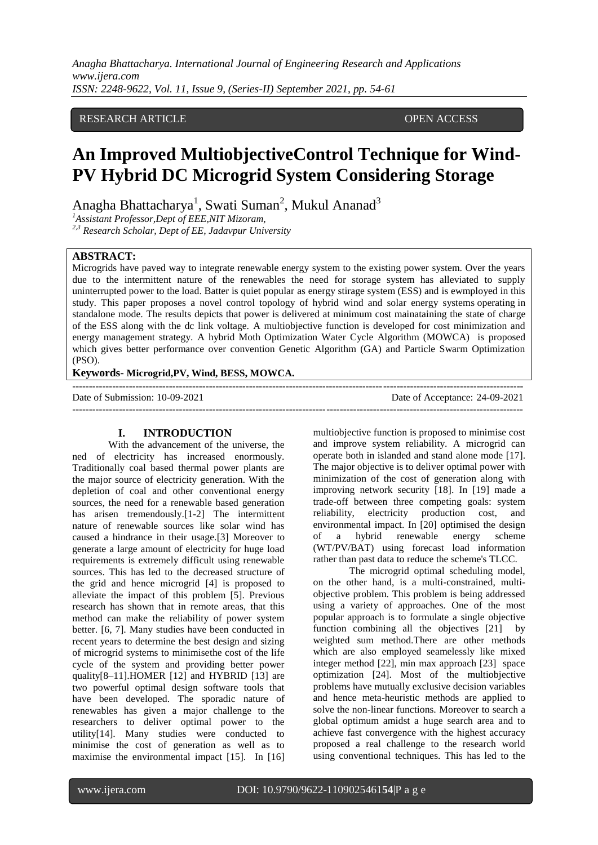# RESEARCH ARTICLE **OPEN ACCESS**

# **An Improved MultiobjectiveControl Technique for Wind-PV Hybrid DC Microgrid System Considering Storage**

Anagha Bhattacharya<sup>1</sup>, Swati Suman<sup>2</sup>, Mukul Ananad<sup>3</sup>

*<sup>1</sup>Assistant Professor,Dept of EEE,NIT Mizoram,* 

*2,3 Research Scholar, Dept of EE, Jadavpur University*

## **ABSTRACT:**

Microgrids have paved way to integrate renewable energy system to the existing power system. Over the years due to the intermittent nature of the renewables the need for storage system has alleviated to supply uninterrupted power to the load. Batter is quiet popular as energy stirage system (ESS) and is ewmployed in this study. This paper proposes a novel control topology of hybrid wind and solar energy systems operating in standalone mode. The results depicts that power is delivered at minimum cost mainataining the state of charge of the ESS along with the dc link voltage. A multiobjective function is developed for cost minimization and energy management strategy. A hybrid Moth Optimization Water Cycle Algorithm (MOWCA) is proposed which gives better performance over convention Genetic Algorithm (GA) and Particle Swarm Optimization (PSO).

---------------------------------------------------------------------------------------------------------------------------------------

## **Keywords- Microgrid,PV, Wind, BESS, MOWCA.**

Date of Submission: 10-09-2021 Date of Acceptance: 24-09-2021 ---------------------------------------------------------------------------------------------------------------------------------------

## **I. INTRODUCTION**

With the advancement of the universe, the ned of electricity has increased enormously. Traditionally coal based thermal power plants are the major source of electricity generation. With the depletion of coal and other conventional energy sources, the need for a renewable based generation has arisen tremendously.<sup>[1-2]</sup> The intermittent nature of renewable sources like solar wind has caused a hindrance in their usage.[3] Moreover to generate a large amount of electricity for huge load requirements is extremely difficult using renewable sources. This has led to the decreased structure of the grid and hence microgrid [4] is proposed to alleviate the impact of this problem [5]. Previous research has shown that in remote areas, that this method can make the reliability of power system better. [6, 7]. Many studies have been conducted in recent years to determine the best design and sizing of microgrid systems to minimisethe cost of the life cycle of the system and providing better power quality[8–11].HOMER [12] and HYBRID [13] are two powerful optimal design software tools that have been developed. The sporadic nature of renewables has given a major challenge to the researchers to deliver optimal power to the utility[14]. Many studies were conducted to minimise the cost of generation as well as to maximise the environmental impact [15]. In [16] multiobjective function is proposed to minimise cost and improve system reliability. A microgrid can operate both in islanded and stand alone mode [17]. The major objective is to deliver optimal power with minimization of the cost of generation along with improving network security [18]. In [19] made a trade-off between three competing goals: system reliability, electricity production cost, and environmental impact. In [20] optimised the design of a hybrid renewable energy scheme (WT/PV/BAT) using forecast load information rather than past data to reduce the scheme's TLCC.

The microgrid optimal scheduling model, on the other hand, is a multi-constrained, multiobjective problem. This problem is being addressed using a variety of approaches. One of the most popular approach is to formulate a single objective function combining all the objectives [21] by weighted sum method.There are other methods which are also employed seamelessly like mixed integer method [22], min max approach [23] space optimization [24]. Most of the multiobjective problems have mutually exclusive decision variables and hence meta-heuristic methods are applied to solve the non-linear functions. Moreover to search a global optimum amidst a huge search area and to achieve fast convergence with the highest accuracy proposed a real challenge to the research world using conventional techniques. This has led to the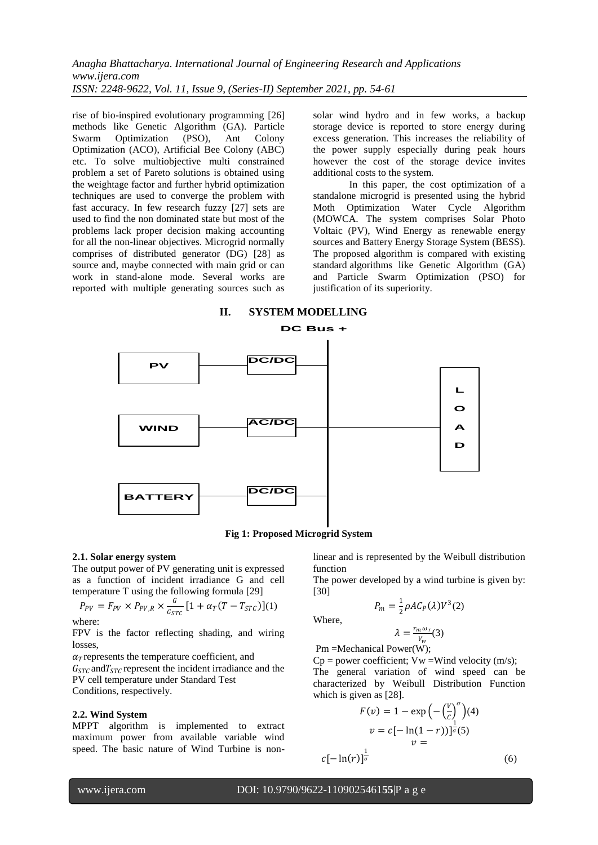rise of bio-inspired evolutionary programming [26] methods like Genetic Algorithm (GA). Particle Swarm Optimization (PSO), Ant Colony Optimization (ACO), Artificial Bee Colony (ABC) etc. To solve multiobjective multi constrained problem a set of Pareto solutions is obtained using the weightage factor and further hybrid optimization techniques are used to converge the problem with fast accuracy. In few research fuzzy [27] sets are used to find the non dominated state but most of the problems lack proper decision making accounting for all the non-linear objectives. Microgrid normally comprises of distributed generator (DG) [28] as source and, maybe connected with main grid or can work in stand-alone mode. Several works are reported with multiple generating sources such as solar wind hydro and in few works, a backup storage device is reported to store energy during excess generation. This increases the reliability of the power supply especially during peak hours however the cost of the storage device invites additional costs to the system.

In this paper, the cost optimization of a standalone microgrid is presented using the hybrid Moth Optimization Water Cycle Algorithm (MOWCA. The system comprises Solar Photo Voltaic (PV), Wind Energy as renewable energy sources and Battery Energy Storage System (BESS). The proposed algorithm is compared with existing standard algorithms like Genetic Algorithm (GA) and Particle Swarm Optimization (PSO) for justification of its superiority.



**Fig 1: Proposed Microgrid System**

#### **2.1. Solar energy system**

The output power of PV generating unit is expressed as a function of incident irradiance G and cell temperature T using the following formula [29]

$$
P_{PV} = F_{PV} \times P_{PV,R} \times \frac{G}{G_{STC}} [1 + \alpha_T (T - T_{STC})](1)
$$

where:

FPV is the factor reflecting shading, and wiring losses,

 $\alpha$ <sup>r</sup> represents the temperature coefficient, and  $G_{STC}$  and  $T_{STC}$  represent the incident irradiance and the PV cell temperature under Standard Test Conditions, respectively.

#### **2.2. Wind System**

MPPT algorithm is implemented to extract maximum power from available variable wind speed. The basic nature of Wind Turbine is nonlinear and is represented by the Weibull distribution function

The power developed by a wind turbine is given by: [30]

$$
P_m = \frac{1}{2} \rho A C_P(\lambda) V^3(2)
$$

Where,

$$
\lambda = \frac{r_m \omega_r}{V_w}(3)
$$
  
 Pm =Mechanical Power(W);

 $Cp = power coefficient; Vw = Wind velocity (m/s);$ 

The general variation of wind speed can be characterized by Weibull Distribution Function which is given as [28].

$$
F(v) = 1 - \exp\left(-\left(\frac{v}{c}\right)^{\sigma}\right)(4)
$$

$$
v = c[-\ln(1-r))]^{\frac{1}{\sigma}(5)}
$$

$$
v =
$$

$$
c[-\ln(r)]^{\frac{1}{\sigma}}
$$
(6)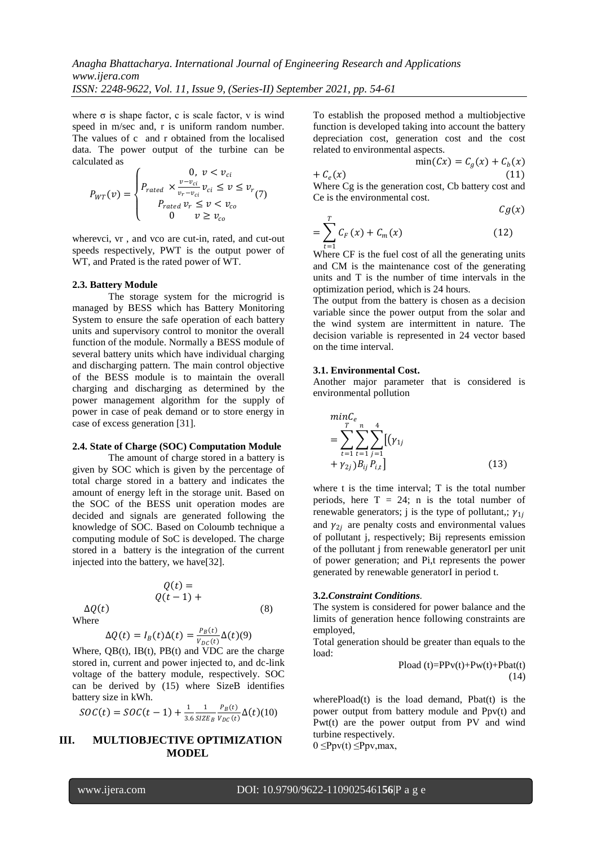where  $\sigma$  is shape factor, c is scale factor, v is wind speed in m/sec and, r is uniform random number. The values of c and r obtained from the localised data. The power output of the turbine can be calculated as

$$
P_{WT}(\nu) = \begin{cases} 0, & \nu < \nu_{ci} \\ P_{rated} \times \frac{\nu - \nu_{ci}}{\nu_r - \nu_{ci}} \nu_{ci} \leq \nu \leq \nu_r \\ P_{rated} \nu_r \leq \nu < \nu_{co} \\ 0 \qquad \nu \geq \nu_{co} \end{cases} (7)
$$

wherevci, vr , and vco are cut-in, rated, and cut-out speeds respectively, PWT is the output power of WT, and Prated is the rated power of WT.

## **2.3. Battery Module**

The storage system for the microgrid is managed by BESS which has Battery Monitoring System to ensure the safe operation of each battery units and supervisory control to monitor the overall function of the module. Normally a BESS module of several battery units which have individual charging and discharging pattern. The main control objective of the BESS module is to maintain the overall charging and discharging as determined by the power management algorithm for the supply of power in case of peak demand or to store energy in case of excess generation [31].

## **2.4. State of Charge (SOC) Computation Module**

The amount of charge stored in a battery is given by SOC which is given by the percentage of total charge stored in a battery and indicates the amount of energy left in the storage unit. Based on the SOC of the BESS unit operation modes are decided and signals are generated following the knowledge of SOC. Based on Coloumb technique a computing module of SoC is developed. The charge stored in a battery is the integration of the current injected into the battery, we have[32].

$$
Q(t) =
$$
  
 
$$
Q(t-1) +
$$
  
 
$$
\Delta Q(t)
$$
 (8)

Where

$$
\Delta Q(t) = I_B(t)\Delta(t) = \frac{P_B(t)}{V_{DC}(t)}\Delta(t)(9)
$$

Where,  $QB(t)$ ,  $IB(t)$ ,  $PB(t)$  and VDC are the charge stored in, current and power injected to, and dc-link voltage of the battery module, respectively. SOC can be derived by (15) where SizeB identifies battery size in kWh.

$$
SOC(t) = SOC(t-1) + \frac{1}{3.6} \frac{1}{SIZE_B} \frac{P_B(t)}{V_{DC}(t)} \Delta(t) (10)
$$

# **III. MULTIOBJECTIVE OPTIMIZATION MODEL**

To establish the proposed method a multiobjective function is developed taking into account the battery depreciation cost, generation cost and the cost related to environmental aspects.

$$
\min(Cx) = C_g(x) + C_b(x)
$$
  
+  $C_e(x)$  (11)  
Where Cg is the generation cost, Cb battery cost and  
Ce is the environmental cost.

$$
Cg(x)
$$
  
= 
$$
\sum_{r=1}^{T} C_{F}(x) + C_{m}(x)
$$
 (12)

=1 Where CF is the fuel cost of all the generating units and CM is the maintenance cost of the generating units and T is the number of time intervals in the optimization period, which is 24 hours.

The output from the battery is chosen as a decision variable since the power output from the solar and the wind system are intermittent in nature. The decision variable is represented in 24 vector based on the time interval.

## **3.1. Environmental Cost.**

Another major parameter that is considered is environmental pollution

$$
\begin{aligned}\n &minC_e \\
&= \sum_{t=1}^T \sum_{t=1}^n \sum_{j=1}^4 \left[ (\gamma_{1j} + \gamma_{2j}) B_{ij} P_{i,t} \right]\n \end{aligned} \tag{13}
$$

where t is the time interval; T is the total number periods, here  $T = 24$ ; n is the total number of renewable generators; j is the type of pollutant,;  $\gamma_{1i}$ and  $\gamma_{2i}$  are penalty costs and environmental values of pollutant j, respectively; Bij represents emission of the pollutant j from renewable generatorI per unit of power generation; and Pi,t represents the power generated by renewable generatorI in period t.

### **3.2.***Constraint Conditions.*

The system is considered for power balance and the limits of generation hence following constraints are employed,

Total generation should be greater than equals to the load:

$$
Pload(t)=PPv(t)+Pw(t)+Pbat(t)
$$
\n(14)

wherePload(t) is the load demand, Pbat(t) is the power output from battery module and Ppv(t) and Pwt(t) are the power output from PV and wind turbine respectively.

 $0 \leq Ppv(t) \leq Ppv, max$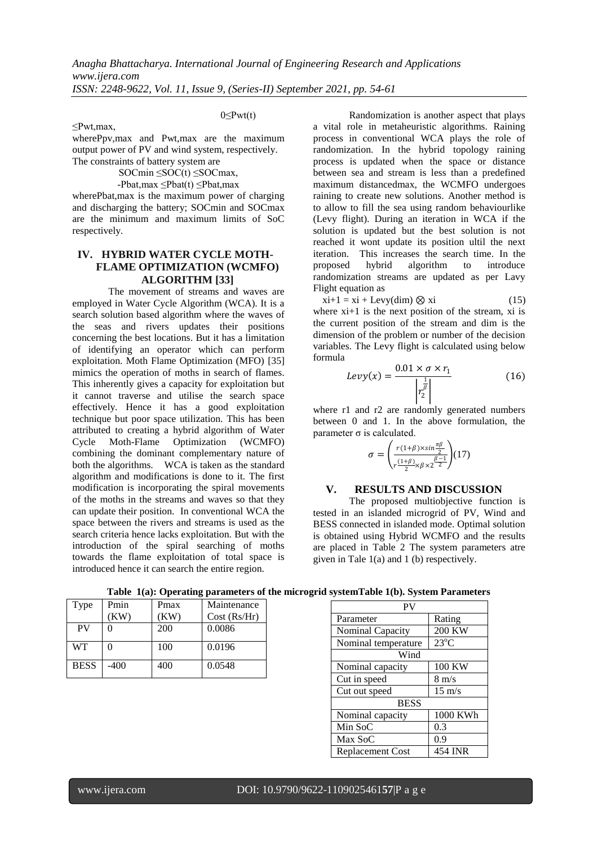## 0≤Pwt(t)

≤Pwt,max, wherePpv,max and Pwt,max are the maximum output power of PV and wind system, respectively. The constraints of battery system are

 $SOCmin \leq SOC(t) \leq SOCmax$ ,

-Pbat,max ≤Pbat(t) ≤Pbat,max

wherePbat,max is the maximum power of charging and discharging the battery; SOCmin and SOCmax are the minimum and maximum limits of SoC respectively.

# **IV. HYBRID WATER CYCLE MOTH-FLAME OPTIMIZATION (WCMFO) ALGORITHM [33]**

The movement of streams and waves are employed in Water Cycle Algorithm (WCA). It is a search solution based algorithm where the waves of the seas and rivers updates their positions concerning the best locations. But it has a limitation of identifying an operator which can perform exploitation. Moth Flame Optimization (MFO) [35] mimics the operation of moths in search of flames. This inherently gives a capacity for exploitation but it cannot traverse and utilise the search space effectively. Hence it has a good exploitation technique but poor space utilization. This has been attributed to creating a hybrid algorithm of Water Cycle Moth-Flame Optimization (WCMFO) combining the dominant complementary nature of both the algorithms. WCA is taken as the standard algorithm and modifications is done to it. The first modification is incorporating the spiral movements of the moths in the streams and waves so that they can update their position. In conventional WCA the space between the rivers and streams is used as the search criteria hence lacks exploitation. But with the introduction of the spiral searching of moths towards the flame exploitation of total space is introduced hence it can search the entire region.

Randomization is another aspect that plays a vital role in metaheuristic algorithms. Raining process in conventional WCA plays the role of randomization. In the hybrid topology raining process is updated when the space or distance between sea and stream is less than a predefined maximum distancedmax, the WCMFO undergoes raining to create new solutions. Another method is to allow to fill the sea using random behaviourlike (Levy flight). During an iteration in WCA if the solution is updated but the best solution is not reached it wont update its position ultil the next iteration. This increases the search time. In the proposed hybrid algorithm to introduce randomization streams are updated as per Lavy Flight equation as

 $xi+1 = xi + Levy(dim) \otimes xi$  (15) where xi+1 is the next position of the stream, xi is the current position of the stream and dim is the dimension of the problem or number of the decision variables. The Levy flight is calculated using below formula

$$
Levy(x) = \frac{0.01 \times \sigma \times r_1}{\left| r_2^{\frac{1}{\beta}} \right|} \tag{16}
$$

where r1 and r2 are randomly generated numbers between 0 and 1. In the above formulation, the parameter  $\sigma$  is calculated.

$$
\sigma = \left(\frac{r(1+\beta)\times\sin\frac{\pi\beta}{2}}{r\frac{(1+\beta)}{2}\times\beta\times2\frac{\beta-1}{2}}\right)(17)
$$

# **V. RESULTS AND DISCUSSION**

The proposed multiobiective function is tested in an islanded microgrid of PV, Wind and BESS connected in islanded mode. Optimal solution is obtained using Hybrid WCMFO and the results are placed in Table 2 The system parameters atre given in Tale 1(a) and 1 (b) respectively.

| Type        | Pmin | Pmax | Maintenance  |  |
|-------------|------|------|--------------|--|
|             | KW)  | (KW) | Cost (Rs/Hr) |  |
| <b>PV</b>   |      | 200  | 0.0086       |  |
|             |      |      |              |  |
| <b>WT</b>   | 0    | 100  | 0.0196       |  |
| <b>BESS</b> | -400 | 400  | 0.0548       |  |

**Table 1(a): Operating parameters of the microgrid systemTable 1(b). System Parameters**

| PV                      |                  |  |  |  |  |
|-------------------------|------------------|--|--|--|--|
| Parameter               | Rating           |  |  |  |  |
| Nominal Capacity        | <b>200 KW</b>    |  |  |  |  |
| Nominal temperature     | $23^{\circ}C$    |  |  |  |  |
| Wind                    |                  |  |  |  |  |
| Nominal capacity        | 100 KW           |  |  |  |  |
| Cut in speed            | $8 \text{ m/s}$  |  |  |  |  |
| Cut out speed           | $15 \text{ m/s}$ |  |  |  |  |
| <b>BESS</b>             |                  |  |  |  |  |
| Nominal capacity        | 1000 KWh         |  |  |  |  |
| Min SoC                 | 0.3              |  |  |  |  |
| Max SoC                 | 0.9              |  |  |  |  |
| <b>Replacement Cost</b> | 454 INR          |  |  |  |  |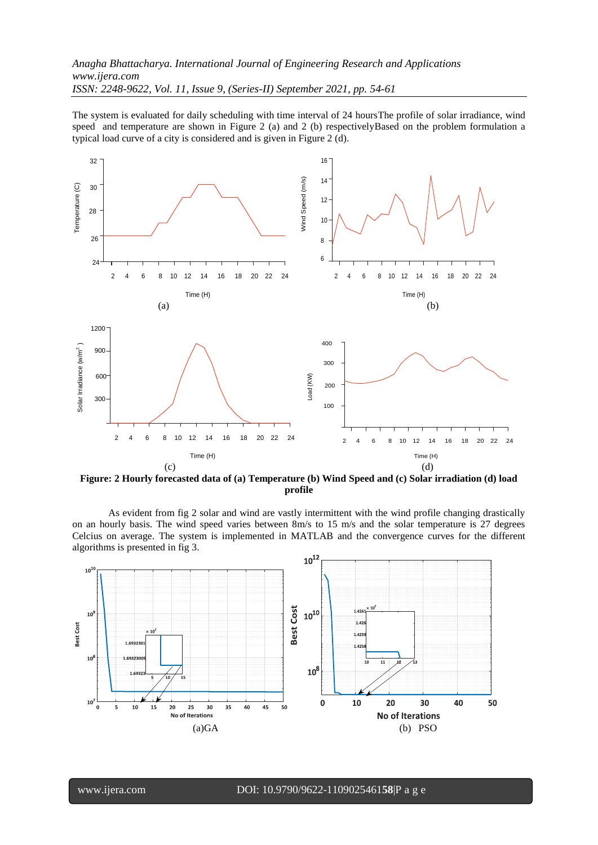The system is evaluated for daily scheduling with time interval of 24 hoursThe profile of solar irradiance, wind speed and temperature are shown in Figure 2 (a) and 2 (b) respectivelyBased on the problem formulation a typical load curve of a city is considered and is given in Figure 2 (d).



**Figure: 2 Hourly forecasted data of (a) Temperature (b) Wind Speed and (c) Solar irradiation (d) load profile**

As evident from fig 2 solar and wind are vastly intermittent with the wind profile changing drastically on an hourly basis. The wind speed varies between 8m/s to 15 m/s and the solar temperature is 27 degrees Celcius on average. The system is implemented in MATLAB and the convergence curves for the different algorithms is presented in fig 3.

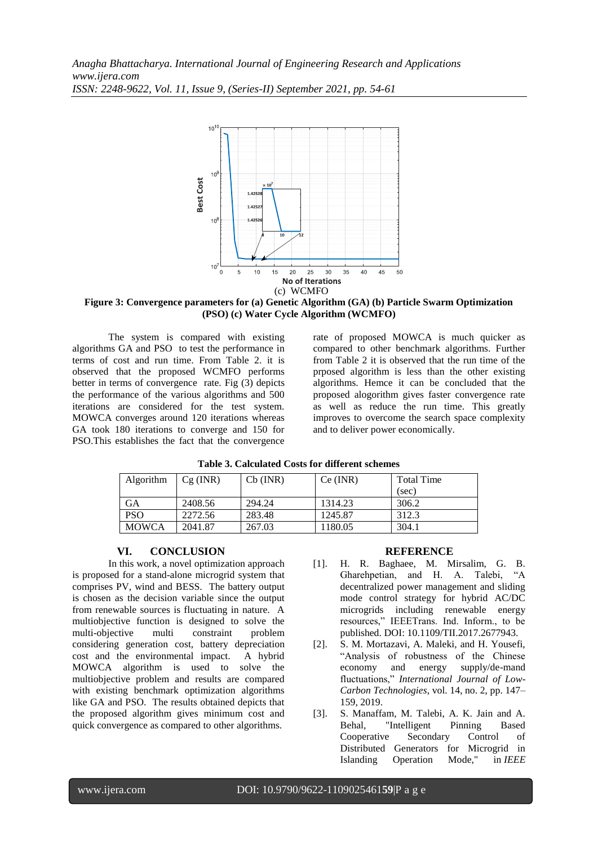

**Figure 3: Convergence parameters for (a) Genetic Algorithm (GA) (b) Particle Swarm Optimization (PSO) (c) Water Cycle Algorithm (WCMFO)**

The system is compared with existing algorithms GA and PSO to test the performance in terms of cost and run time. From Table 2. it is observed that the proposed WCMFO performs better in terms of convergence rate. Fig (3) depicts the performance of the various algorithms and 500 iterations are considered for the test system. MOWCA converges around 120 iterations whereas GA took 180 iterations to converge and 150 for PSO.This establishes the fact that the convergence rate of proposed MOWCA is much quicker as compared to other benchmark algorithms. Further from Table 2 it is observed that the run time of the prposed algorithm is less than the other existing algorithms. Hemce it can be concluded that the proposed alogorithm gives faster convergence rate as well as reduce the run time. This greatly improves to overcome the search space complexity and to deliver power economically.

| Algorithm    | $Cg$ (INR) | $Cb$ (INR) | Ce (INR) | <b>Total Time</b> |
|--------------|------------|------------|----------|-------------------|
|              |            |            |          | (sec)             |
| <b>GA</b>    | 2408.56    | 294.24     | 1314.23  | 306.2             |
| <b>PSO</b>   | 2272.56    | 283.48     | 1245.87  | 312.3             |
| <b>MOWCA</b> | 2041.87    | 267.03     | 1180.05  | 304.1             |

## **Table 3. Calculated Costs for different schemes**

### **VI. CONCLUSION**

In this work, a novel optimization approach is proposed for a stand-alone microgrid system that comprises PV, wind and BESS. The battery output is chosen as the decision variable since the output from renewable sources is fluctuating in nature. A multiobjective function is designed to solve the multi-objective multi constraint problem considering generation cost, battery depreciation cost and the environmental impact. A hybrid MOWCA algorithm is used to solve the multiobjective problem and results are compared with existing benchmark optimization algorithms like GA and PSO. The results obtained depicts that the proposed algorithm gives minimum cost and quick convergence as compared to other algorithms.

## **REFERENCE**

- [1]. H. R. Baghaee, M. Mirsalim, G. B. Gharehpetian, and H. A. Talebi, "A decentralized power management and sliding mode control strategy for hybrid AC/DC microgrids including renewable energy resources," IEEETrans. Ind. Inform., to be published. DOI: 10.1109/TII.2017.2677943.
- [2]. S. M. Mortazavi, A. Maleki, and H. Yousefi, "Analysis of robustness of the Chinese economy and energy supply/de-mand fluctuations," *International Journal of Low-Carbon Technologies*, vol. 14, no. 2, pp. 147– 159, 2019.
- [3]. S. Manaffam, M. Talebi, A. K. Jain and A. Behal, "Intelligent Pinning Based Cooperative Secondary Control of Distributed Generators for Microgrid in Islanding Operation Mode," in *IEEE*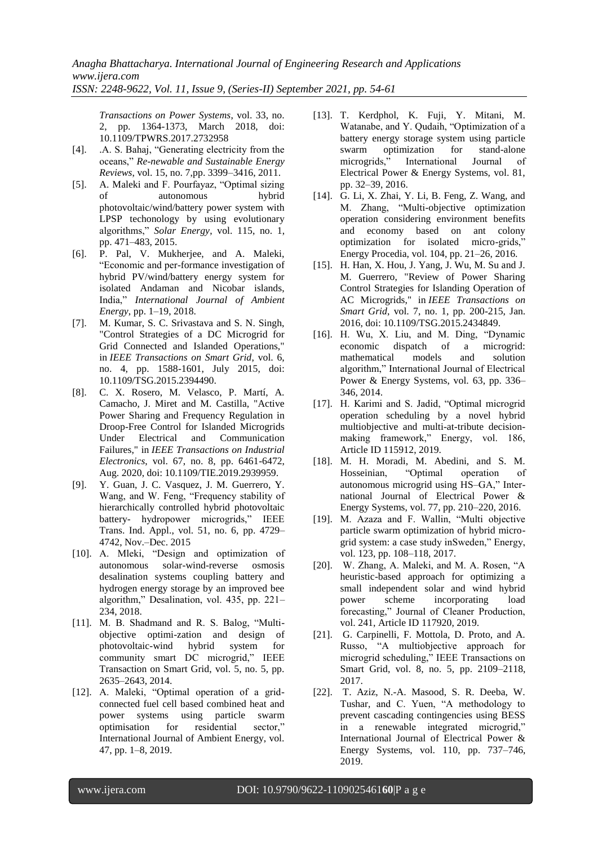*Transactions on Power Systems*, vol. 33, no. 2, pp. 1364-1373, March 2018, doi: 10.1109/TPWRS.2017.2732958

- [4]. .A. S. Bahaj, "Generating electricity from the oceans," *Re-newable and Sustainable Energy Reviews*, vol. 15, no. 7,pp. 3399–3416, 2011.
- [5]. A. Maleki and F. Pourfayaz, "Optimal sizing of autonomous hybrid photovoltaic/wind/battery power system with LPSP techonology by using evolutionary algorithms," *Solar Energy*, vol. 115, no. 1, pp. 471–483, 2015.
- [6]. P. Pal, V. Mukherjee, and A. Maleki, "Economic and per-formance investigation of hybrid PV/wind/battery energy system for isolated Andaman and Nicobar islands, India," *International Journal of Ambient Energy*, pp. 1–19, 2018.
- [7]. M. Kumar, S. C. Srivastava and S. N. Singh, "Control Strategies of a DC Microgrid for Grid Connected and Islanded Operations," in *IEEE Transactions on Smart Grid*, vol. 6, no. 4, pp. 1588-1601, July 2015, doi: 10.1109/TSG.2015.2394490.
- [8]. C. X. Rosero, M. Velasco, P. Martí, A. Camacho, J. Miret and M. Castilla, "Active Power Sharing and Frequency Regulation in Droop-Free Control for Islanded Microgrids Under Electrical and Communication Failures," in *IEEE Transactions on Industrial Electronics*, vol. 67, no. 8, pp. 6461-6472, Aug. 2020, doi: 10.1109/TIE.2019.2939959.
- [9]. Y. Guan, J. C. Vasquez, J. M. Guerrero, Y. Wang, and W. Feng, "Frequency stability of hierarchically controlled hybrid photovoltaic battery- hydropower microgrids," IEEE Trans. Ind. Appl., vol. 51, no. 6, pp. 4729– 4742, Nov.–Dec. 2015
- [10]. A. Mleki, "Design and optimization of autonomous solar-wind-reverse osmosis desalination systems coupling battery and hydrogen energy storage by an improved bee algorithm," Desalination, vol. 435, pp. 221– 234, 2018.
- [11]. M. B. Shadmand and R. S. Balog, "Multiobjective optimi-zation and design of photovoltaic-wind hybrid system for community smart DC microgrid," IEEE Transaction on Smart Grid, vol. 5, no. 5, pp. 2635–2643, 2014.
- [12]. A. Maleki, "Optimal operation of a gridconnected fuel cell based combined heat and power systems using particle swarm optimisation for residential sector," International Journal of Ambient Energy, vol. 47, pp. 1–8, 2019.
- [13]. T. Kerdphol, K. Fuji, Y. Mitani, M. Watanabe, and Y. Qudaih, "Optimization of a battery energy storage system using particle swarm optimization for stand-alone microgrids," International Journal of Electrical Power & Energy Systems, vol. 81, pp. 32–39, 2016.
- [14]. G. Li, X. Zhai, Y. Li, B. Feng, Z. Wang, and M. Zhang, "Multi-objective optimization operation considering environment benefits and economy based on ant colony optimization for isolated micro-grids," Energy Procedia, vol. 104, pp. 21–26, 2016.
- [15]. H. Han, X. Hou, J. Yang, J. Wu, M. Su and J. M. Guerrero, "Review of Power Sharing Control Strategies for Islanding Operation of AC Microgrids," in *IEEE Transactions on Smart Grid*, vol. 7, no. 1, pp. 200-215, Jan. 2016, doi: 10.1109/TSG.2015.2434849.
- [16]. H. Wu, X. Liu, and M. Ding, "Dynamic economic dispatch of a microgrid: mathematical models and solution algorithm," International Journal of Electrical Power & Energy Systems, vol. 63, pp. 336– 346, 2014.
- [17]. H. Karimi and S. Jadid, "Optimal microgrid operation scheduling by a novel hybrid multiobjective and multi-at-tribute decisionmaking framework," Energy, vol. 186, Article ID 115912, 2019.
- [18]. M. H. Moradi, M. Abedini, and S. M. Hosseinian, "Optimal operation of autonomous microgrid using HS–GA," International Journal of Electrical Power & Energy Systems, vol. 77, pp. 210–220, 2016.
- [19]. M. Azaza and F. Wallin, "Multi objective particle swarm optimization of hybrid microgrid system: a case study inSweden," Energy, vol. 123, pp. 108–118, 2017.
- [20]. W. Zhang, A. Maleki, and M. A. Rosen, "A heuristic-based approach for optimizing a small independent solar and wind hybrid power scheme incorporating load forecasting," Journal of Cleaner Production, vol. 241, Article ID 117920, 2019.
- [21]. G. Carpinelli, F. Mottola, D. Proto, and A. Russo, "A multiobjective approach for microgrid scheduling," IEEE Transactions on Smart Grid, vol. 8, no. 5, pp. 2109–2118, 2017.
- [22]. T. Aziz, N.-A. Masood, S. R. Deeba, W. Tushar, and C. Yuen, "A methodology to prevent cascading contingencies using BESS in a renewable integrated microgrid," International Journal of Electrical Power & Energy Systems, vol. 110, pp. 737–746, 2019.